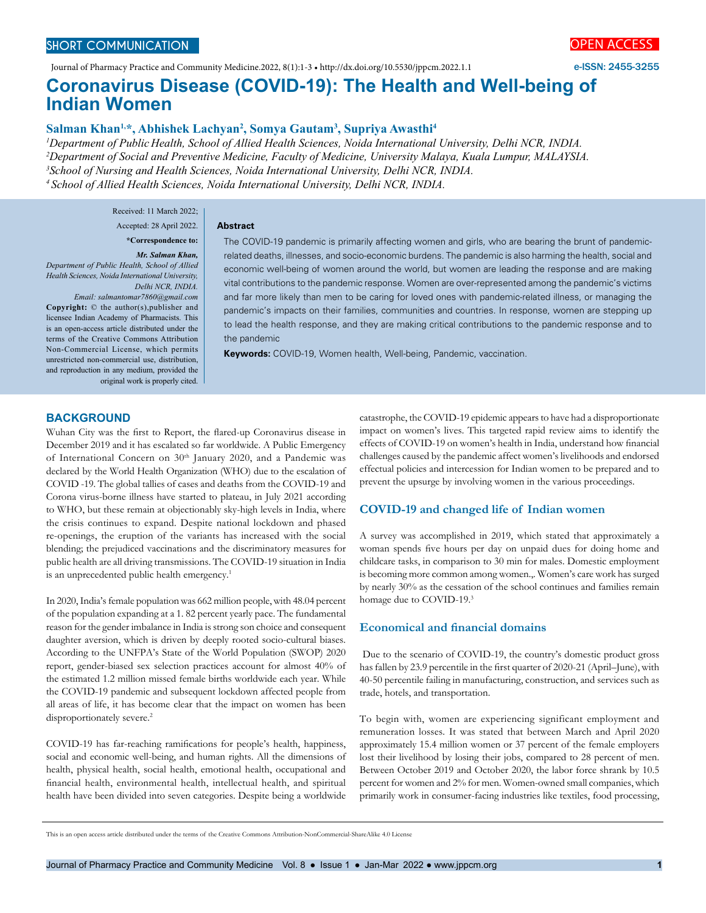Journal of Pharmacy Practice and Community Medicine.2022, 8(1):1-3 • http://dx.doi.org/10.5530/jppcm.2022.1.1



e-ISSN: 2455-3255

# **Coronavirus Disease (COVID-19): The Health and Well-being of Indian Women**

### Salman Khan<sup>1,\*</sup>, Abhishek Lachyan<sup>2</sup>, Somya Gautam<sup>3</sup>, Supriya Awasthi<sup>4</sup>

**Abstract**

 *Department of Public Health, School of Allied Health Sciences, Noida International University, Delhi NCR, INDIA. Department of Social and Preventive Medicine, Faculty of Medicine, University Malaya, Kuala Lumpur, MALAYSIA. School of Nursing and Health Sciences, Noida International University, Delhi NCR, INDIA. 4 School of Allied Health Sciences, Noida International University, Delhi NCR, INDIA.*

> Received: 11 March 2022; Accepted: 28 April 2022.

#### **\*Correspondence to:**

## *Mr. Salman Khan,*

*Department of Public Health, School of Allied Health Sciences, Noida International University, Delhi NCR, INDIA.* 

*Email: salmantomar7860@gmail.com* **Copyright:** © the author(s),publisher and licensee Indian Academy of Pharmacists. This is an open-access article distributed under the terms of the Creative Commons Attribution Non-Commercial License, which permits unrestricted non-commercial use, distribution, and reproduction in any medium, provided the original work is properly cited. The COVID-19 pandemic is primarily affecting women and girls, who are bearing the brunt of pandemicrelated deaths, illnesses, and socio-economic burdens. The pandemic is also harming the health, social and economic well-being of women around the world, but women are leading the response and are making vital contributions to the pandemic response. Women are over-represented among the pandemic's victims and far more likely than men to be caring for loved ones with pandemic-related illness, or managing the pandemic's impacts on their families, communities and countries. In response, women are stepping up to lead the health response, and they are making critical contributions to the pandemic response and to the pandemic

**Keywords:** COVID-19, Women health, Well-being, Pandemic, vaccination.

#### **BACKGROUND**

Wuhan City was the first to Report, the flared-up Coronavirus disease in December 2019 and it has escalated so far worldwide. A Public Emergency of International Concern on 30<sup>th</sup> January 2020, and a Pandemic was declared by the World Health Organization (WHO) due to the escalation of COVID -19. The global tallies of cases and deaths from the COVID-19 and Corona virus-borne illness have started to plateau, in July 2021 according to WHO, but these remain at objectionably sky-high levels in India, where the crisis continues to expand. Despite national lockdown and phased re-openings, the eruption of the variants has increased with the social blending; the prejudiced vaccinations and the discriminatory measures for public health are all driving transmissions. The COVID-19 situation in India is an unprecedented public health emergency.<sup>1</sup>

In 2020, India's female population was 662 million people, with 48.04 percent of the population expanding at a 1. 82 percent yearly pace. The fundamental reason for the gender imbalance in India is strong son choice and consequent daughter aversion, which is driven by deeply rooted socio-cultural biases. According to the UNFPA's State of the World Population (SWOP) 2020 report, gender-biased sex selection practices account for almost 40% of the estimated 1.2 million missed female births worldwide each year. While the COVID-19 pandemic and subsequent lockdown affected people from all areas of life, it has become clear that the impact on women has been disproportionately severe.<sup>2</sup>

COVID-19 has far-reaching ramifications for people's health, happiness, social and economic well-being, and human rights. All the dimensions of health, physical health, social health, emotional health, occupational and financial health, environmental health, intellectual health, and spiritual health have been divided into seven categories. Despite being a worldwide catastrophe, the COVID-19 epidemic appears to have had a disproportionate impact on women's lives. This targeted rapid review aims to identify the effects of COVID-19 on women's health in India, understand how financial challenges caused by the pandemic affect women's livelihoods and endorsed effectual policies and intercession for Indian women to be prepared and to prevent the upsurge by involving women in the various proceedings.

### **COVID-19 and changed life of Indian women**

A survey was accomplished in 2019, which stated that approximately a woman spends five hours per day on unpaid dues for doing home and childcare tasks, in comparison to 30 min for males. Domestic employment is becoming more common among women.,. Women's care work has surged by nearly 30% as the cessation of the school continues and families remain homage due to COVID-19.3

### **Economical and financial domains**

 Due to the scenario of COVID-19, the country's domestic product gross has fallen by 23.9 percentile in the first quarter of 2020-21 (April–June), with 40-50 percentile failing in manufacturing, construction, and services such as trade, hotels, and transportation.

To begin with, women are experiencing significant employment and remuneration losses. It was stated that between March and April 2020 approximately 15.4 million women or 37 percent of the female employers lost their livelihood by losing their jobs, compared to 28 percent of men. Between October 2019 and October 2020, the labor force shrank by 10.5 percent for women and 2% for men. Women-owned small companies, which primarily work in consumer-facing industries like textiles, food processing,

This is an open access article distributed under the terms of the Creative Commons Attribution-NonCommercial-ShareAlike 4.0 License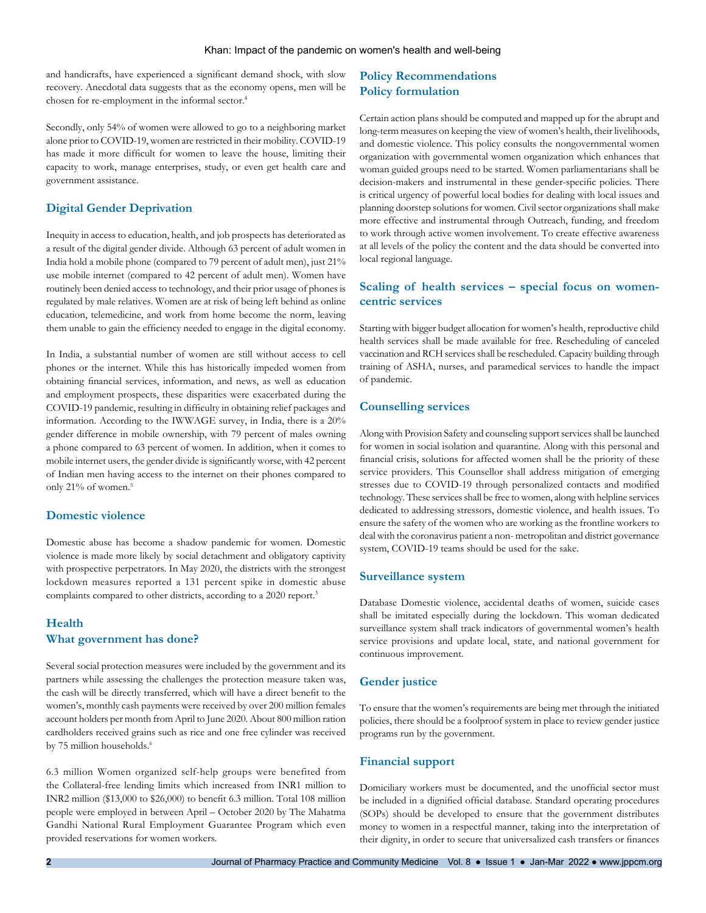#### Khan: Impact of the pandemic on women's health and well-being

and handicrafts, have experienced a significant demand shock, with slow recovery. Anecdotal data suggests that as the economy opens, men will be chosen for re-employment in the informal sector.<sup>4</sup>

Secondly, only 54% of women were allowed to go to a neighboring market alone prior to COVID-19, women are restricted in their mobility. COVID-19 has made it more difficult for women to leave the house, limiting their capacity to work, manage enterprises, study, or even get health care and government assistance.

### **Digital Gender Deprivation**

Inequity in access to education, health, and job prospects has deteriorated as a result of the digital gender divide. Although 63 percent of adult women in India hold a mobile phone (compared to 79 percent of adult men), just 21% use mobile internet (compared to 42 percent of adult men). Women have routinely been denied access to technology, and their prior usage of phones is regulated by male relatives. Women are at risk of being left behind as online education, telemedicine, and work from home become the norm, leaving them unable to gain the efficiency needed to engage in the digital economy.

In India, a substantial number of women are still without access to cell phones or the internet. While this has historically impeded women from obtaining financial services, information, and news, as well as education and employment prospects, these disparities were exacerbated during the COVID-19 pandemic, resulting in difficulty in obtaining relief packages and information. According to the IWWAGE survey, in India, there is a 20% gender difference in mobile ownership, with 79 percent of males owning a phone compared to 63 percent of women. In addition, when it comes to mobile internet users, the gender divide is significantly worse, with 42 percent of Indian men having access to the internet on their phones compared to only 21% of women.<sup>5</sup>

### **Domestic violence**

Domestic abuse has become a shadow pandemic for women. Domestic violence is made more likely by social detachment and obligatory captivity with prospective perpetrators. In May 2020, the districts with the strongest lockdown measures reported a 131 percent spike in domestic abuse complaints compared to other districts, according to a 2020 report.<sup>3</sup>

### **Health What government has done?**

Several social protection measures were included by the government and its partners while assessing the challenges the protection measure taken was, the cash will be directly transferred, which will have a direct benefit to the women's, monthly cash payments were received by over 200 million females account holders per month from April to June 2020. About 800 million ration cardholders received grains such as rice and one free cylinder was received by 75 million households.<sup>6</sup>

6.3 million Women organized self-help groups were benefited from the Collateral-free lending limits which increased from INR1 million to INR2 million (\$13,000 to \$26,000) to benefit 6.3 million. Total 108 million people were employed in between April – October 2020 by The Mahatma Gandhi National Rural Employment Guarantee Program which even provided reservations for women workers.

### **Policy Recommendations Policy formulation**

Certain action plans should be computed and mapped up for the abrupt and long-term measures on keeping the view of women's health, their livelihoods, and domestic violence. This policy consults the nongovernmental women organization with governmental women organization which enhances that woman guided groups need to be started. Women parliamentarians shall be decision-makers and instrumental in these gender-specific policies. There is critical urgency of powerful local bodies for dealing with local issues and planning doorstep solutions for women. Civil sector organizations shall make more effective and instrumental through Outreach, funding, and freedom to work through active women involvement. To create effective awareness at all levels of the policy the content and the data should be converted into local regional language.

### **Scaling of health services – special focus on womencentric services**

Starting with bigger budget allocation for women's health, reproductive child health services shall be made available for free. Rescheduling of canceled vaccination and RCH services shall be rescheduled. Capacity building through training of ASHA, nurses, and paramedical services to handle the impact of pandemic.

### **Counselling services**

Along with Provision Safety and counseling support services shall be launched for women in social isolation and quarantine. Along with this personal and financial crisis, solutions for affected women shall be the priority of these service providers. This Counsellor shall address mitigation of emerging stresses due to COVID-19 through personalized contacts and modified technology. These services shall be free to women, along with helpline services dedicated to addressing stressors, domestic violence, and health issues. To ensure the safety of the women who are working as the frontline workers to deal with the coronavirus patient a non- metropolitan and district governance system, COVID-19 teams should be used for the sake.

### **Surveillance system**

Database Domestic violence, accidental deaths of women, suicide cases shall be imitated especially during the lockdown. This woman dedicated surveillance system shall track indicators of governmental women's health service provisions and update local, state, and national government for continuous improvement.

### **Gender justice**

To ensure that the women's requirements are being met through the initiated policies, there should be a foolproof system in place to review gender justice programs run by the government.

### **Financial support**

Domiciliary workers must be documented, and the unofficial sector must be included in a dignified official database. Standard operating procedures (SOPs) should be developed to ensure that the government distributes money to women in a respectful manner, taking into the interpretation of their dignity, in order to secure that universalized cash transfers or finances